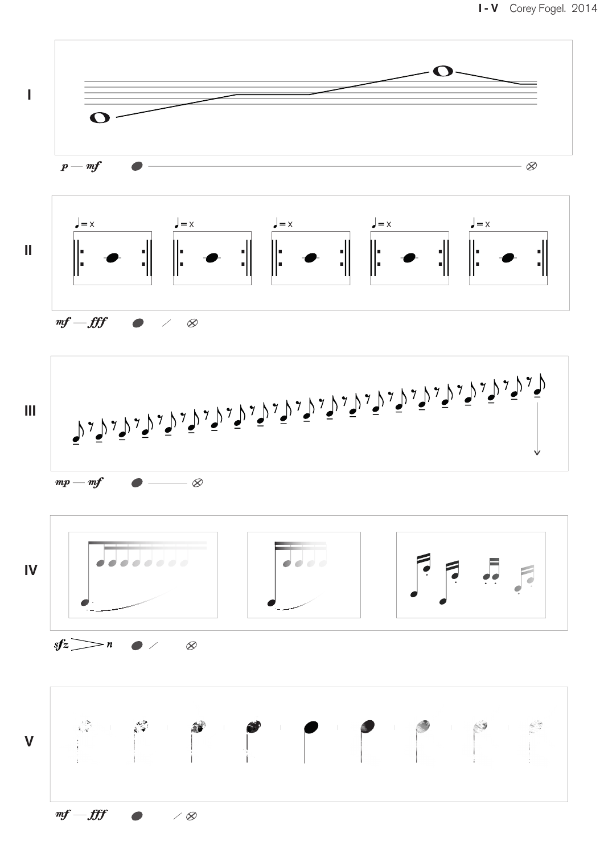